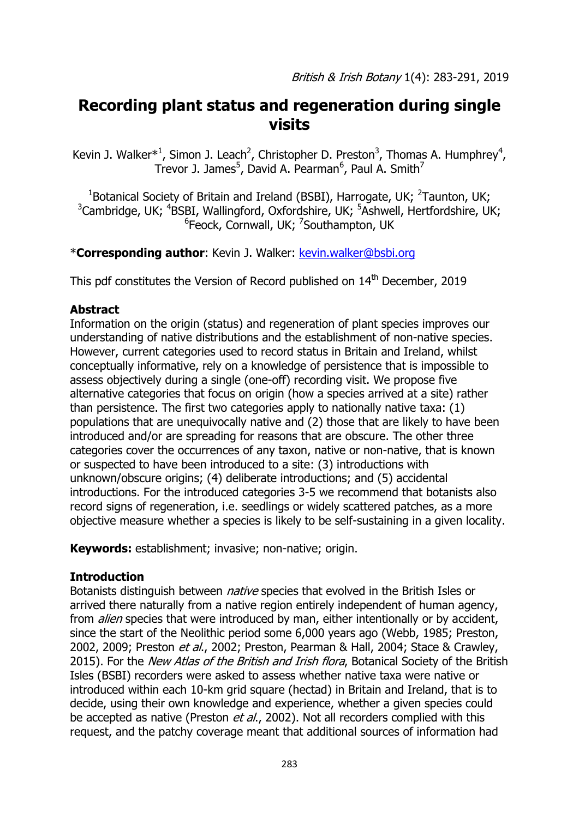# **Recording plant status and regeneration during single visits**

Kevin J. Walker<sup>\*1</sup>, Simon J. Leach<sup>2</sup>, Christopher D. Preston<sup>3</sup>, Thomas A. Humphrey<sup>4</sup>, Trevor J. James<sup>5</sup>, David A. Pearman<sup>6</sup>, Paul A. Smith<sup>7</sup>

<sup>1</sup>Botanical Society of Britain and Ireland (BSBI), Harrogate, UK;  $^2$ Taunton, UK;  $3$ Cambridge, UK;  $4$ BSBI, Wallingford, Oxfordshire, UK;  $5$ Ashwell, Hertfordshire, UK; <sup>6</sup>Feock, Cornwall, UK; <sup>7</sup>Southampton, UK

\***Corresponding author**: Kevin J. Walker: [kevin.walker@bsbi.org](mailto:kevin.walker@bsbi.org)

This pdf constitutes the Version of Record published on 14<sup>th</sup> December, 2019

## **Abstract**

Information on the origin (status) and regeneration of plant species improves our understanding of native distributions and the establishment of non-native species. However, current categories used to record status in Britain and Ireland, whilst conceptually informative, rely on a knowledge of persistence that is impossible to assess objectively during a single (one-off) recording visit. We propose five alternative categories that focus on origin (how a species arrived at a site) rather than persistence. The first two categories apply to nationally native taxa: (1) populations that are unequivocally native and (2) those that are likely to have been introduced and/or are spreading for reasons that are obscure. The other three categories cover the occurrences of any taxon, native or non-native, that is known or suspected to have been introduced to a site: (3) introductions with unknown/obscure origins; (4) deliberate introductions; and (5) accidental introductions. For the introduced categories 3-5 we recommend that botanists also record signs of regeneration, i.e. seedlings or widely scattered patches, as a more objective measure whether a species is likely to be self-sustaining in a given locality.

**Keywords:** establishment; invasive; non-native; origin.

# **Introduction**

Botanists distinguish between *native* species that evolved in the British Isles or arrived there naturally from a native region entirely independent of human agency, from *alien* species that were introduced by man, either intentionally or by accident, since the start of the Neolithic period some 6,000 years ago (Webb, 1985; Preston, 2002, 2009; Preston et al., 2002; Preston, Pearman & Hall, 2004; Stace & Crawley, 2015). For the New Atlas of the British and Irish flora, Botanical Society of the British Isles (BSBI) recorders were asked to assess whether native taxa were native or introduced within each 10-km grid square (hectad) in Britain and Ireland, that is to decide, using their own knowledge and experience, whether a given species could be accepted as native (Preston *et al.*, 2002). Not all recorders complied with this request, and the patchy coverage meant that additional sources of information had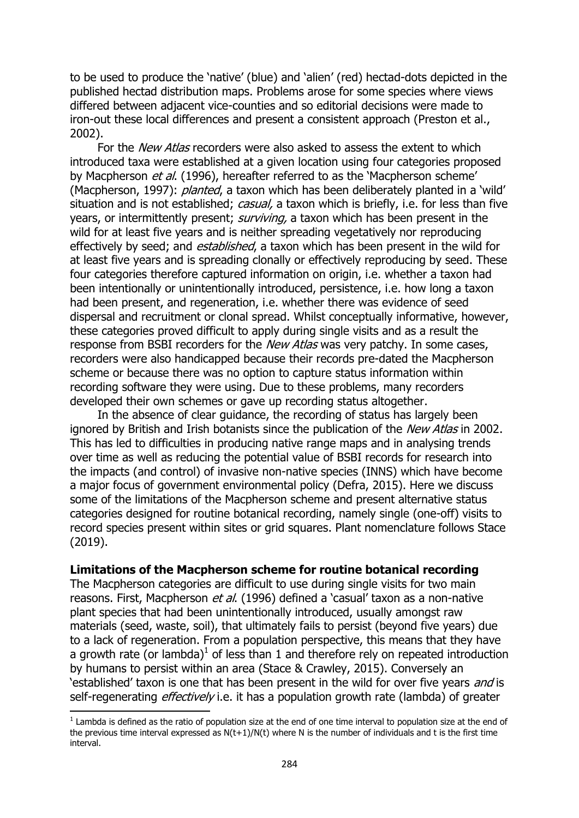to be used to produce the 'native' (blue) and 'alien' (red) hectad-dots depicted in the published hectad distribution maps. Problems arose for some species where views differed between adjacent vice-counties and so editorial decisions were made to iron-out these local differences and present a consistent approach (Preston et al., 2002).

For the *New Atlas* recorders were also asked to assess the extent to which introduced taxa were established at a given location using four categories proposed by Macpherson *et al.* (1996), hereafter referred to as the 'Macpherson scheme' (Macpherson, 1997): *planted*, a taxon which has been deliberately planted in a 'wild' situation and is not established; casual, a taxon which is briefly, i.e. for less than five years, or intermittently present; *surviving*, a taxon which has been present in the wild for at least five years and is neither spreading vegetatively nor reproducing effectively by seed; and *established*, a taxon which has been present in the wild for at least five years and is spreading clonally or effectively reproducing by seed. These four categories therefore captured information on origin, i.e. whether a taxon had been intentionally or unintentionally introduced, persistence, i.e. how long a taxon had been present, and regeneration, i.e. whether there was evidence of seed dispersal and recruitment or clonal spread. Whilst conceptually informative, however, these categories proved difficult to apply during single visits and as a result the response from BSBI recorders for the *New Atlas* was very patchy. In some cases, recorders were also handicapped because their records pre-dated the Macpherson scheme or because there was no option to capture status information within recording software they were using. Due to these problems, many recorders developed their own schemes or gave up recording status altogether.

In the absence of clear guidance, the recording of status has largely been ignored by British and Irish botanists since the publication of the New Atlas in 2002. This has led to difficulties in producing native range maps and in analysing trends over time as well as reducing the potential value of BSBI records for research into the impacts (and control) of invasive non-native species (INNS) which have become a major focus of government environmental policy (Defra, 2015). Here we discuss some of the limitations of the Macpherson scheme and present alternative status categories designed for routine botanical recording, namely single (one-off) visits to record species present within sites or grid squares. Plant nomenclature follows Stace (2019).

#### **Limitations of the Macpherson scheme for routine botanical recording**

The Macpherson categories are difficult to use during single visits for two main reasons. First, Macpherson *et al.* (1996) defined a 'casual' taxon as a non-native plant species that had been unintentionally introduced, usually amongst raw materials (seed, waste, soil), that ultimately fails to persist (beyond five years) due to a lack of regeneration. From a population perspective, this means that they have a growth rate (or lambda)<sup>1</sup> of less than 1 and therefore rely on repeated introduction by humans to persist within an area (Stace & Crawley, 2015). Conversely an 'established' taxon is one that has been present in the wild for over five years and is self-regenerating  $effectively$  i.e. it has a population growth rate (lambda) of greater

1

 $<sup>1</sup>$  Lambda is defined as the ratio of population size at the end of one time interval to population size at the end of</sup> the previous time interval expressed as  $N(t+1)/N(t)$  where N is the number of individuals and t is the first time interval.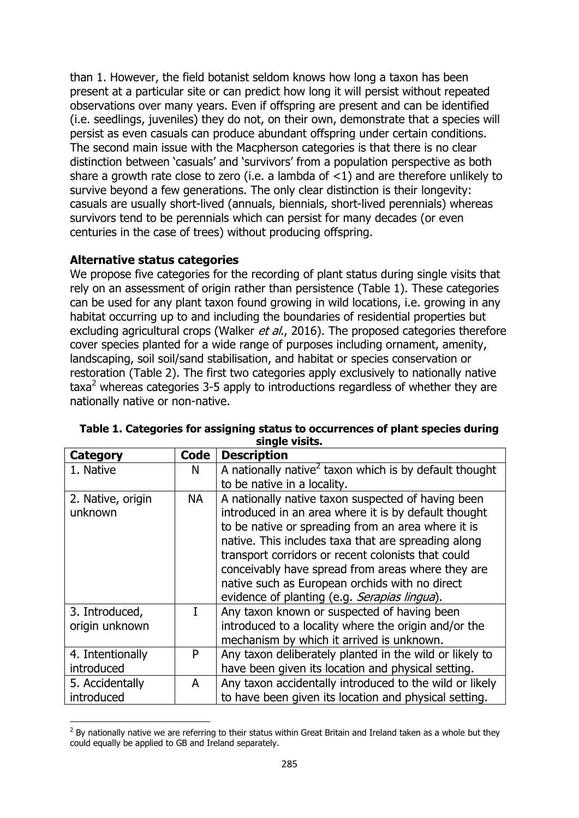than 1. However, the field botanist seldom knows how long a taxon has been present at a particular site or can predict how long it will persist without repeated observations over many years. Even if offspring are present and can be identified (i.e. seedlings, juveniles) they do not, on their own, demonstrate that a species will persist as even casuals can produce abundant offspring under certain conditions. The second main issue with the Macpherson categories is that there is no clear distinction between 'casuals' and 'survivors' from a population perspective as both share a growth rate close to zero (i.e. a lambda of  $\lt 1$ ) and are therefore unlikely to survive beyond a few generations. The only clear distinction is their longevity: casuals are usually short-lived (annuals, biennials, short-lived perennials) whereas survivors tend to be perennials which can persist for many decades (or even centuries in the case of trees) without producing offspring.

#### **Alternative status categories**

 $\overline{\phantom{a}}$ 

We propose five categories for the recording of plant status during single visits that rely on an assessment of origin rather than persistence (Table 1). These categories can be used for any plant taxon found growing in wild locations, i.e. growing in any habitat occurring up to and including the boundaries of residential properties but excluding agricultural crops (Walker et al., 2016). The proposed categories therefore cover species planted for a wide range of purposes including ornament, amenity, landscaping, soil soil/sand stabilisation, and habitat or species conservation or restoration (Table 2). The first two categories apply exclusively to nationally native  $\text{taxa}^2$  whereas categories 3-5 apply to introductions regardless of whether they are nationally native or non-native.

| <b>Category</b>                  | Code      | <b>Description</b>                                                                                                                                                                                                                                                                                                                                                                                                                   |
|----------------------------------|-----------|--------------------------------------------------------------------------------------------------------------------------------------------------------------------------------------------------------------------------------------------------------------------------------------------------------------------------------------------------------------------------------------------------------------------------------------|
| 1. Native                        | N         | A nationally native <sup>2</sup> taxon which is by default thought                                                                                                                                                                                                                                                                                                                                                                   |
|                                  |           | to be native in a locality.                                                                                                                                                                                                                                                                                                                                                                                                          |
| 2. Native, origin<br>unknown     | <b>NA</b> | A nationally native taxon suspected of having been<br>introduced in an area where it is by default thought<br>to be native or spreading from an area where it is<br>native. This includes taxa that are spreading along<br>transport corridors or recent colonists that could<br>conceivably have spread from areas where they are<br>native such as European orchids with no direct<br>evidence of planting (e.g. Serapias lingua). |
| 3. Introduced,<br>origin unknown |           | Any taxon known or suspected of having been<br>introduced to a locality where the origin and/or the<br>mechanism by which it arrived is unknown.                                                                                                                                                                                                                                                                                     |
| 4. Intentionally<br>introduced   | P         | Any taxon deliberately planted in the wild or likely to<br>have been given its location and physical setting.                                                                                                                                                                                                                                                                                                                        |
| 5. Accidentally                  | A         | Any taxon accidentally introduced to the wild or likely                                                                                                                                                                                                                                                                                                                                                                              |
| introduced                       |           | to have been given its location and physical setting.                                                                                                                                                                                                                                                                                                                                                                                |

**Table 1. Categories for assigning status to occurrences of plant species during single visits.**

 $<sup>2</sup>$  By nationally native we are referring to their status within Great Britain and Ireland taken as a whole but they</sup> could equally be applied to GB and Ireland separately.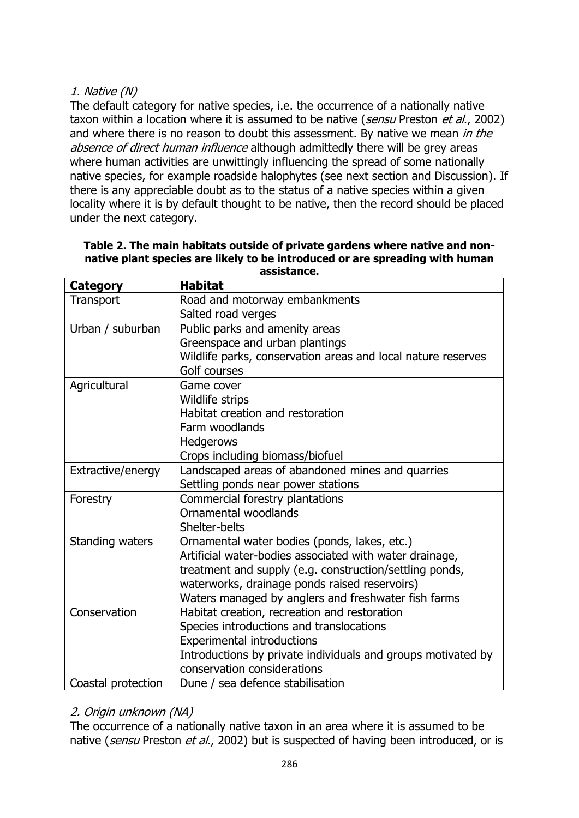# 1. Native (N)

The default category for native species, i.e. the occurrence of a nationally native taxon within a location where it is assumed to be native (sensu Preston et al., 2002) and where there is no reason to doubt this assessment. By native we mean in the absence of direct human influence although admittedly there will be grey areas where human activities are unwittingly influencing the spread of some nationally native species, for example roadside halophytes (see next section and Discussion). If there is any appreciable doubt as to the status of a native species within a given locality where it is by default thought to be native, then the record should be placed under the next category.

| Category           | <b>Habitat</b>                                               |
|--------------------|--------------------------------------------------------------|
| Transport          | Road and motorway embankments                                |
|                    | Salted road verges                                           |
| Urban / suburban   | Public parks and amenity areas                               |
|                    | Greenspace and urban plantings                               |
|                    | Wildlife parks, conservation areas and local nature reserves |
|                    | Golf courses                                                 |
| Agricultural       | Game cover                                                   |
|                    | Wildlife strips                                              |
|                    | Habitat creation and restoration                             |
|                    | Farm woodlands                                               |
|                    | <b>Hedgerows</b>                                             |
|                    | Crops including biomass/biofuel                              |
| Extractive/energy  | Landscaped areas of abandoned mines and quarries             |
|                    | Settling ponds near power stations                           |
| Forestry           | Commercial forestry plantations                              |
|                    | Ornamental woodlands                                         |
|                    | Shelter-belts                                                |
| Standing waters    | Ornamental water bodies (ponds, lakes, etc.)                 |
|                    | Artificial water-bodies associated with water drainage,      |
|                    | treatment and supply (e.g. construction/settling ponds,      |
|                    | waterworks, drainage ponds raised reservoirs)                |
|                    | Waters managed by anglers and freshwater fish farms          |
| Conservation       | Habitat creation, recreation and restoration                 |
|                    | Species introductions and translocations                     |
|                    | <b>Experimental introductions</b>                            |
|                    | Introductions by private individuals and groups motivated by |
|                    | conservation considerations                                  |
| Coastal protection | Dune / sea defence stabilisation                             |

#### **Table 2. The main habitats outside of private gardens where native and nonnative plant species are likely to be introduced or are spreading with human assistance.**

# 2. Origin unknown (NA)

The occurrence of a nationally native taxon in an area where it is assumed to be native (sensu Preston et al., 2002) but is suspected of having been introduced, or is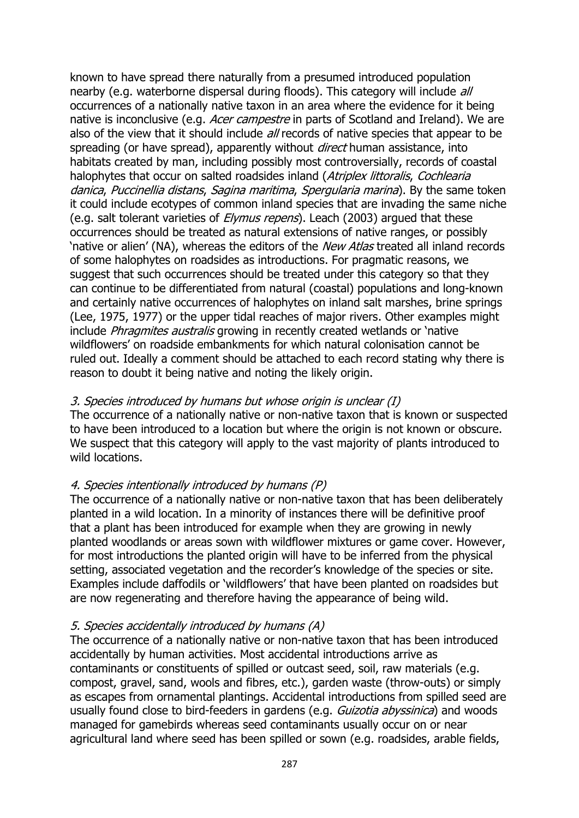known to have spread there naturally from a presumed introduced population nearby (e.g. waterborne dispersal during floods). This category will include all occurrences of a nationally native taxon in an area where the evidence for it being native is inconclusive (e.g. Acer campestre in parts of Scotland and Ireland). We are also of the view that it should include *all* records of native species that appear to be spreading (or have spread), apparently without *direct* human assistance, into habitats created by man, including possibly most controversially, records of coastal halophytes that occur on salted roadsides inland (Atriplex littoralis, Cochlearia danica, Puccinellia distans, Sagina maritima, Spergularia marina). By the same token it could include ecotypes of common inland species that are invading the same niche (e.g. salt tolerant varieties of *Elymus repens*). Leach (2003) argued that these occurrences should be treated as natural extensions of native ranges, or possibly 'native or alien' (NA), whereas the editors of the *New Atlas* treated all inland records of some halophytes on roadsides as introductions. For pragmatic reasons, we suggest that such occurrences should be treated under this category so that they can continue to be differentiated from natural (coastal) populations and long-known and certainly native occurrences of halophytes on inland salt marshes, brine springs (Lee, 1975, 1977) or the upper tidal reaches of major rivers. Other examples might include *Phragmites australis* growing in recently created wetlands or 'native wildflowers' on roadside embankments for which natural colonisation cannot be ruled out. Ideally a comment should be attached to each record stating why there is reason to doubt it being native and noting the likely origin.

## 3. Species introduced by humans but whose origin is unclear (I)

The occurrence of a nationally native or non-native taxon that is known or suspected to have been introduced to a location but where the origin is not known or obscure. We suspect that this category will apply to the vast majority of plants introduced to wild locations.

## 4. Species intentionally introduced by humans (P)

The occurrence of a nationally native or non-native taxon that has been deliberately planted in a wild location. In a minority of instances there will be definitive proof that a plant has been introduced for example when they are growing in newly planted woodlands or areas sown with wildflower mixtures or game cover. However, for most introductions the planted origin will have to be inferred from the physical setting, associated vegetation and the recorder's knowledge of the species or site. Examples include daffodils or 'wildflowers' that have been planted on roadsides but are now regenerating and therefore having the appearance of being wild.

## 5. Species accidentally introduced by humans (A)

The occurrence of a nationally native or non-native taxon that has been introduced accidentally by human activities. Most accidental introductions arrive as contaminants or constituents of spilled or outcast seed, soil, raw materials (e.g. compost, gravel, sand, wools and fibres, etc.), garden waste (throw-outs) or simply as escapes from ornamental plantings. Accidental introductions from spilled seed are usually found close to bird-feeders in gardens (e.g. *Guizotia abyssinica*) and woods managed for gamebirds whereas seed contaminants usually occur on or near agricultural land where seed has been spilled or sown (e.g. roadsides, arable fields,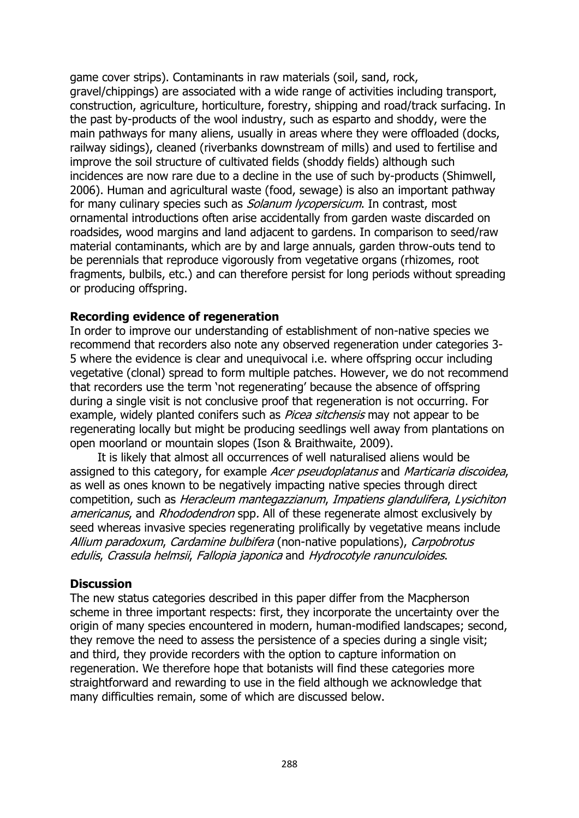game cover strips). Contaminants in raw materials (soil, sand, rock, gravel/chippings) are associated with a wide range of activities including transport, construction, agriculture, horticulture, forestry, shipping and road/track surfacing. In the past by-products of the wool industry, such as esparto and shoddy, were the main pathways for many aliens, usually in areas where they were offloaded (docks, railway sidings), cleaned (riverbanks downstream of mills) and used to fertilise and improve the soil structure of cultivated fields (shoddy fields) although such incidences are now rare due to a decline in the use of such by-products (Shimwell, 2006). Human and agricultural waste (food, sewage) is also an important pathway for many culinary species such as *Solanum lycopersicum*. In contrast, most ornamental introductions often arise accidentally from garden waste discarded on roadsides, wood margins and land adjacent to gardens. In comparison to seed/raw material contaminants, which are by and large annuals, garden throw-outs tend to be perennials that reproduce vigorously from vegetative organs (rhizomes, root fragments, bulbils, etc.) and can therefore persist for long periods without spreading or producing offspring.

#### **Recording evidence of regeneration**

In order to improve our understanding of establishment of non-native species we recommend that recorders also note any observed regeneration under categories 3- 5 where the evidence is clear and unequivocal i.e. where offspring occur including vegetative (clonal) spread to form multiple patches. However, we do not recommend that recorders use the term 'not regenerating' because the absence of offspring during a single visit is not conclusive proof that regeneration is not occurring. For example, widely planted conifers such as *Picea sitchensis* may not appear to be regenerating locally but might be producing seedlings well away from plantations on open moorland or mountain slopes (Ison & Braithwaite, 2009).

It is likely that almost all occurrences of well naturalised aliens would be assigned to this category, for example Acer pseudoplatanus and Marticaria discoidea, as well as ones known to be negatively impacting native species through direct competition, such as Heracleum mantegazzianum, Impatiens glandulifera, Lysichiton americanus, and Rhododendron spp. All of these regenerate almost exclusively by seed whereas invasive species regenerating prolifically by vegetative means include Allium paradoxum, Cardamine bulbifera (non-native populations), Carpobrotus edulis, Crassula helmsii, Fallopia japonica and Hydrocotyle ranunculoides.

#### **Discussion**

The new status categories described in this paper differ from the Macpherson scheme in three important respects: first, they incorporate the uncertainty over the origin of many species encountered in modern, human-modified landscapes; second, they remove the need to assess the persistence of a species during a single visit; and third, they provide recorders with the option to capture information on regeneration. We therefore hope that botanists will find these categories more straightforward and rewarding to use in the field although we acknowledge that many difficulties remain, some of which are discussed below.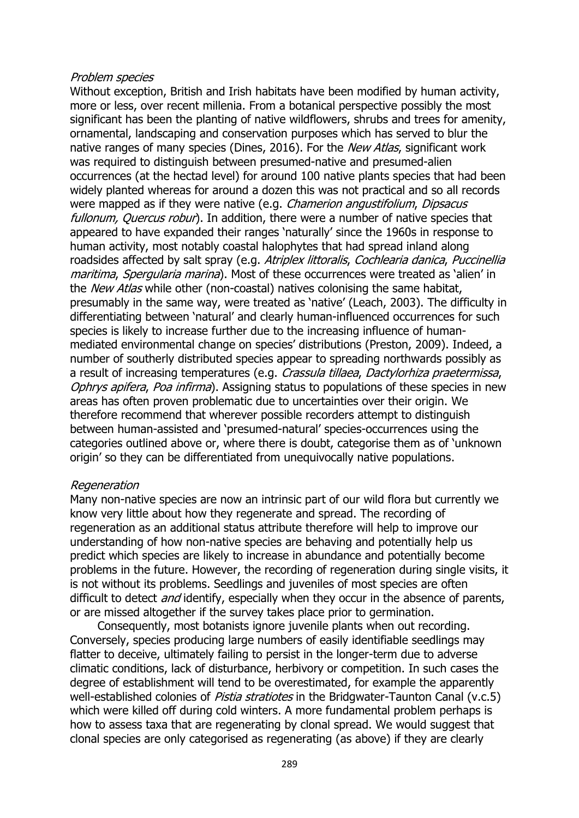#### Problem species

Without exception, British and Irish habitats have been modified by human activity, more or less, over recent millenia. From a botanical perspective possibly the most significant has been the planting of native wildflowers, shrubs and trees for amenity, ornamental, landscaping and conservation purposes which has served to blur the native ranges of many species (Dines, 2016). For the *New Atlas*, significant work was required to distinguish between presumed-native and presumed-alien occurrences (at the hectad level) for around 100 native plants species that had been widely planted whereas for around a dozen this was not practical and so all records were mapped as if they were native (e.g. *Chamerion angustifolium, Dipsacus* fullonum, Quercus robur). In addition, there were a number of native species that appeared to have expanded their ranges 'naturally' since the 1960s in response to human activity, most notably coastal halophytes that had spread inland along roadsides affected by salt spray (e.g. Atriplex littoralis, Cochlearia danica, Puccinellia maritima, Spergularia marina). Most of these occurrences were treated as 'alien' in the *New Atlas* while other (non-coastal) natives colonising the same habitat, presumably in the same way, were treated as 'native' (Leach, 2003). The difficulty in differentiating between 'natural' and clearly human-influenced occurrences for such species is likely to increase further due to the increasing influence of humanmediated environmental change on species' distributions (Preston, 2009). Indeed, a number of southerly distributed species appear to spreading northwards possibly as a result of increasing temperatures (e.g. Crassula tillaea, Dactylorhiza praetermissa, Ophrys apifera, Poa infirma). Assigning status to populations of these species in new areas has often proven problematic due to uncertainties over their origin. We therefore recommend that wherever possible recorders attempt to distinguish between human-assisted and 'presumed-natural' species-occurrences using the categories outlined above or, where there is doubt, categorise them as of 'unknown origin' so they can be differentiated from unequivocally native populations.

#### **Regeneration**

Many non-native species are now an intrinsic part of our wild flora but currently we know very little about how they regenerate and spread. The recording of regeneration as an additional status attribute therefore will help to improve our understanding of how non-native species are behaving and potentially help us predict which species are likely to increase in abundance and potentially become problems in the future. However, the recording of regeneration during single visits, it is not without its problems. Seedlings and juveniles of most species are often difficult to detect *and* identify, especially when they occur in the absence of parents, or are missed altogether if the survey takes place prior to germination.

Consequently, most botanists ignore juvenile plants when out recording. Conversely, species producing large numbers of easily identifiable seedlings may flatter to deceive, ultimately failing to persist in the longer-term due to adverse climatic conditions, lack of disturbance, herbivory or competition. In such cases the degree of establishment will tend to be overestimated, for example the apparently well-established colonies of *Pistia stratiotes* in the Bridgwater-Taunton Canal (v.c.5) which were killed off during cold winters. A more fundamental problem perhaps is how to assess taxa that are regenerating by clonal spread. We would suggest that clonal species are only categorised as regenerating (as above) if they are clearly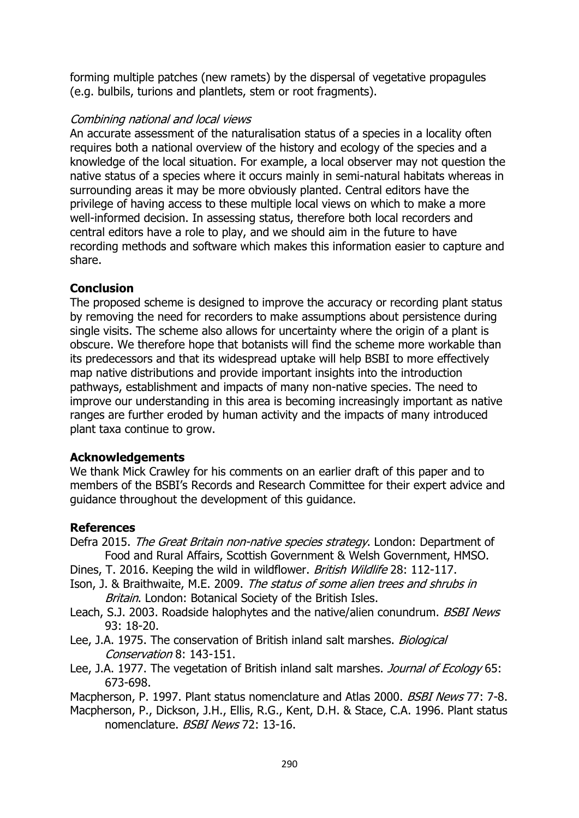forming multiple patches (new ramets) by the dispersal of vegetative propagules (e.g. bulbils, turions and plantlets, stem or root fragments).

#### Combining national and local views

An accurate assessment of the naturalisation status of a species in a locality often requires both a national overview of the history and ecology of the species and a knowledge of the local situation. For example, a local observer may not question the native status of a species where it occurs mainly in semi-natural habitats whereas in surrounding areas it may be more obviously planted. Central editors have the privilege of having access to these multiple local views on which to make a more well-informed decision. In assessing status, therefore both local recorders and central editors have a role to play, and we should aim in the future to have recording methods and software which makes this information easier to capture and share.

# **Conclusion**

The proposed scheme is designed to improve the accuracy or recording plant status by removing the need for recorders to make assumptions about persistence during single visits. The scheme also allows for uncertainty where the origin of a plant is obscure. We therefore hope that botanists will find the scheme more workable than its predecessors and that its widespread uptake will help BSBI to more effectively map native distributions and provide important insights into the introduction pathways, establishment and impacts of many non-native species. The need to improve our understanding in this area is becoming increasingly important as native ranges are further eroded by human activity and the impacts of many introduced plant taxa continue to grow.

## **Acknowledgements**

We thank Mick Crawley for his comments on an earlier draft of this paper and to members of the BSBI's Records and Research Committee for their expert advice and guidance throughout the development of this guidance.

## **References**

- Defra 2015. The Great Britain non-native species strategy. London: Department of Food and Rural Affairs, Scottish Government & Welsh Government, HMSO.
- Dines, T. 2016. Keeping the wild in wildflower. British Wildlife 28: 112-117.
- Ison, J. & Braithwaite, M.E. 2009. The status of some alien trees and shrubs in Britain. London: Botanical Society of the British Isles.
- Leach, S.J. 2003. Roadside halophytes and the native/alien conundrum. BSBI News 93: 18-20.
- Lee, J.A. 1975. The conservation of British inland salt marshes. *Biological* Conservation 8: 143-151.
- Lee, J.A. 1977. The vegetation of British inland salt marshes. Journal of Ecology 65: 673-698.

Macpherson, P. 1997. Plant status nomenclature and Atlas 2000. *BSBI News* 77: 7-8.

Macpherson, P., Dickson, J.H., Ellis, R.G., Kent, D.H. & Stace, C.A. 1996. Plant status nomenclature. **BSBI News 72: 13-16.**